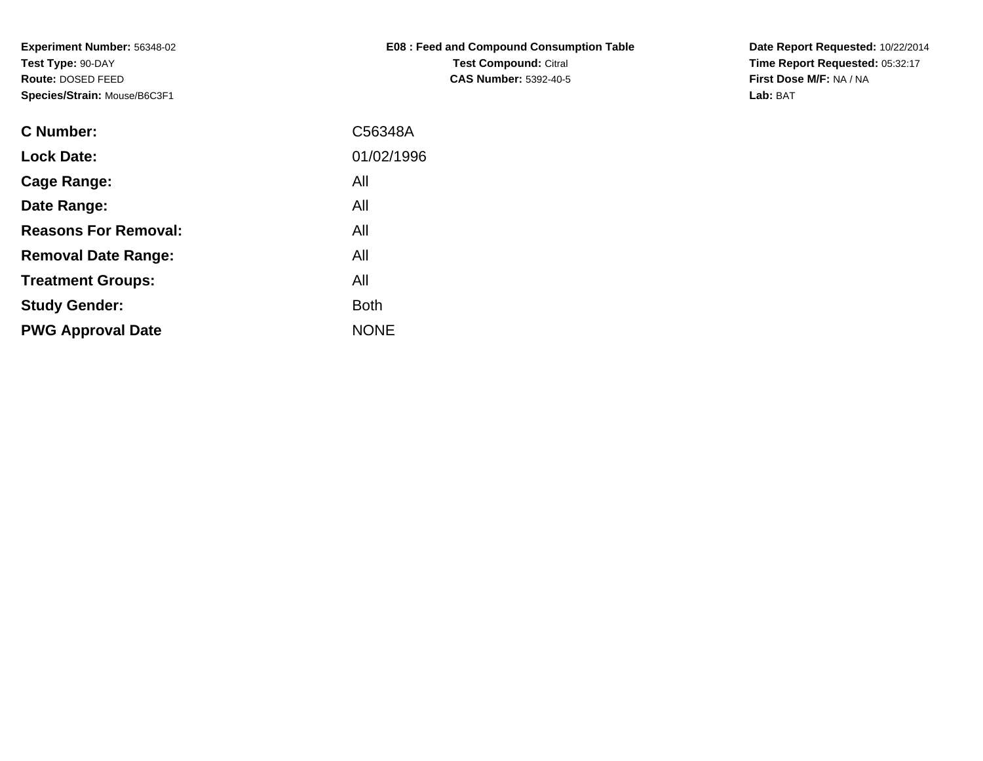| E08 : Feed and Compound Consumption Table |
|-------------------------------------------|
| <b>Test Compound: Citral</b>              |
| <b>CAS Number: 5392-40-5</b>              |

**Date Report Requested:** 10/22/2014 **Time Report Requested:** 05:32:17**First Dose M/F:** NA / NA**Lab:** BAT

| <b>C</b> Number:            | C56348A     |
|-----------------------------|-------------|
| <b>Lock Date:</b>           | 01/02/1996  |
| Cage Range:                 | All         |
| Date Range:                 | All         |
| <b>Reasons For Removal:</b> | All         |
| <b>Removal Date Range:</b>  | All         |
| <b>Treatment Groups:</b>    | All         |
| <b>Study Gender:</b>        | <b>Both</b> |
| <b>PWG Approval Date</b>    | <b>NONE</b> |
|                             |             |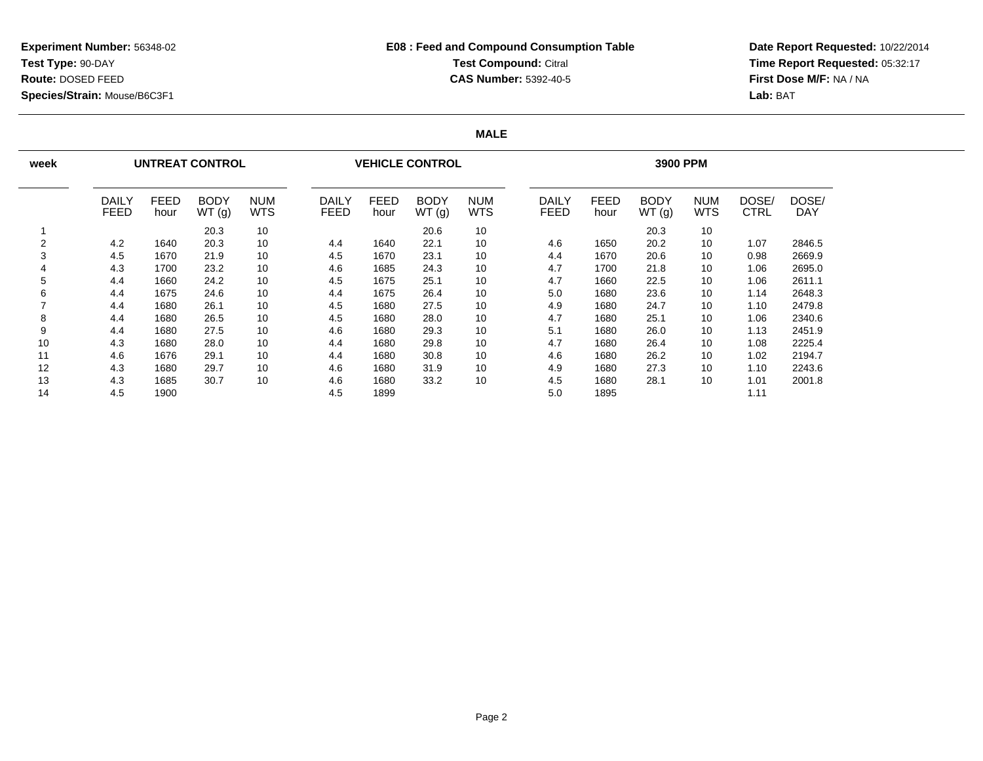### **E08 : Feed and Compound Consumption TableTest Compound:** Citral **CAS Number:** 5392-40-5

**Date Report Requested:** 10/22/2014 **Time Report Requested:** 05:32:17**First Dose M/F:** NA / NA**Lab:** BAT

### **MALE**

| week |                      |                     | <b>UNTREAT CONTROL</b> |                          |                             |                     | <b>VEHICLE CONTROL</b> |                          | 3900 PPM |                      |                     |                      |                   |                      |                     |  |
|------|----------------------|---------------------|------------------------|--------------------------|-----------------------------|---------------------|------------------------|--------------------------|----------|----------------------|---------------------|----------------------|-------------------|----------------------|---------------------|--|
|      | DAILY<br><b>FEED</b> | <b>FEED</b><br>hour | <b>BODY</b><br>WT(g)   | <b>NUM</b><br><b>WTS</b> | <b>DAILY</b><br><b>FEED</b> | <b>FEED</b><br>hour | <b>BODY</b><br>WT(g)   | <b>NUM</b><br><b>WTS</b> |          | DAILY<br><b>FEED</b> | <b>FEED</b><br>hour | <b>BODY</b><br>WT(g) | <b>NUM</b><br>WTS | DOSE/<br><b>CTRL</b> | DOSE/<br><b>DAY</b> |  |
|      |                      |                     | 20.3                   | 10                       |                             |                     | 20.6                   | 10                       |          |                      |                     | 20.3                 | 10                |                      |                     |  |
| 2    | 4.2                  | 1640                | 20.3                   | 10                       | 4.4                         | 1640                | 22.1                   | 10                       |          | 4.6                  | 1650                | 20.2                 | 10                | 1.07                 | 2846.5              |  |
| 3    | 4.5                  | 1670                | 21.9                   | 10                       | 4.5                         | 1670                | 23.1                   | 10                       |          | 4.4                  | 1670                | 20.6                 | 10                | 0.98                 | 2669.9              |  |
| 4    | 4.3                  | 1700                | 23.2                   | 10                       | 4.6                         | 1685                | 24.3                   | 10                       |          | 4.7                  | 1700                | 21.8                 | 10                | 1.06                 | 2695.0              |  |
| 5    | 4.4                  | 1660                | 24.2                   | 10                       | 4.5                         | 1675                | 25.1                   | 10                       |          | 4.7                  | 1660                | 22.5                 | 10                | 1.06                 | 2611.1              |  |
| 6    | 4.4                  | 1675                | 24.6                   | 10                       | 4.4                         | 1675                | 26.4                   | 10                       |          | 5.0                  | 1680                | 23.6                 | 10                | 1.14                 | 2648.3              |  |
|      | 4.4                  | 1680                | 26.1                   | 10                       | 4.5                         | 1680                | 27.5                   | 10                       |          | 4.9                  | 1680                | 24.7                 | 10                | 1.10                 | 2479.8              |  |
| 8    | 4.4                  | 1680                | 26.5                   | 10                       | 4.5                         | 1680                | 28.0                   | 10                       |          | 4.7                  | 1680                | 25.1                 | 10                | 1.06                 | 2340.6              |  |
| 9    | 4.4                  | 1680                | 27.5                   | 10                       | 4.6                         | 1680                | 29.3                   | 10                       |          | 5.1                  | 1680                | 26.0                 | 10                | 1.13                 | 2451.9              |  |
| 10   | 4.3                  | 1680                | 28.0                   | 10                       | 4.4                         | 1680                | 29.8                   | 10                       |          | 4.7                  | 1680                | 26.4                 | 10                | 1.08                 | 2225.4              |  |
| 11   | 4.6                  | 1676                | 29.1                   | 10                       | 4.4                         | 1680                | 30.8                   | 10                       |          | 4.6                  | 1680                | 26.2                 | 10                | 1.02                 | 2194.7              |  |
| 12   | 4.3                  | 1680                | 29.7                   | 10                       | 4.6                         | 1680                | 31.9                   | 10                       |          | 4.9                  | 1680                | 27.3                 | 10                | 1.10                 | 2243.6              |  |
| 13   | 4.3                  | 1685                | 30.7                   | 10                       | 4.6                         | 1680                | 33.2                   | 10                       |          | 4.5                  | 1680                | 28.1                 | 10                | 1.01                 | 2001.8              |  |
| 14   | 4.5                  | 1900                |                        |                          | 4.5                         | 1899                |                        |                          |          | 5.0                  | 1895                |                      |                   | 1.11                 |                     |  |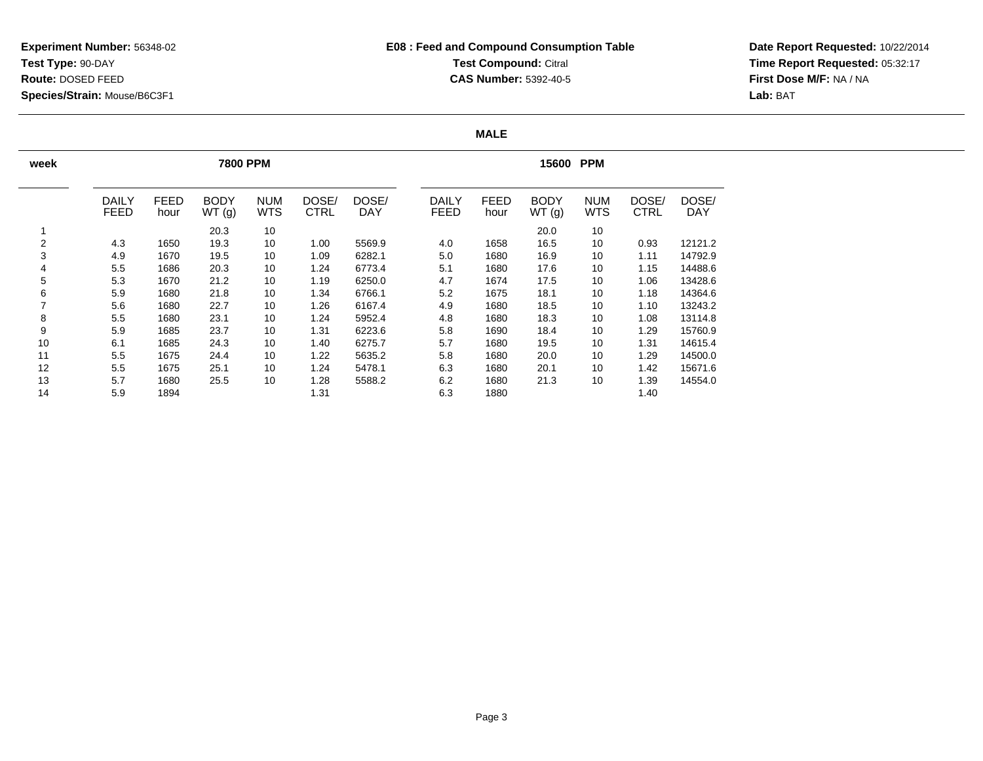## **E08 : Feed and Compound Consumption TableTest Compound: Citral CAS Number:** 5392-40-5

**Date Report Requested:** 10/22/2014 **Time Report Requested:** 05:32:17**First Dose M/F:** NA / NA**Lab:** BAT

### **MALE**

| week           |                             |                     | <b>7800 PPM</b>      |                          |                      |              | 15600<br><b>PPM</b>         |                     |                      |                          |                      |                     |  |  |
|----------------|-----------------------------|---------------------|----------------------|--------------------------|----------------------|--------------|-----------------------------|---------------------|----------------------|--------------------------|----------------------|---------------------|--|--|
|                | <b>DAILY</b><br><b>FEED</b> | <b>FEED</b><br>hour | <b>BODY</b><br>WT(g) | <b>NUM</b><br><b>WTS</b> | DOSE/<br><b>CTRL</b> | DOSE/<br>DAY | <b>DAILY</b><br><b>FEED</b> | <b>FEED</b><br>hour | <b>BODY</b><br>WT(g) | <b>NUM</b><br><b>WTS</b> | DOSE/<br><b>CTRL</b> | DOSE/<br><b>DAY</b> |  |  |
|                |                             |                     | 20.3                 | 10                       |                      |              |                             |                     | 20.0                 | 10                       |                      |                     |  |  |
| $\overline{2}$ | 4.3                         | 1650                | 19.3                 | 10                       | 1.00                 | 5569.9       | 4.0                         | 1658                | 16.5                 | 10                       | 0.93                 | 12121.2             |  |  |
| 3              | 4.9                         | 1670                | 19.5                 | 10                       | 1.09                 | 6282.1       | 5.0                         | 1680                | 16.9                 | 10                       | 1.11                 | 14792.9             |  |  |
| 4              | 5.5                         | 1686                | 20.3                 | 10                       | 1.24                 | 6773.4       | 5.1                         | 1680                | 17.6                 | 10                       | 1.15                 | 14488.6             |  |  |
| 5              | 5.3                         | 1670                | 21.2                 | 10                       | 1.19                 | 6250.0       | 4.7                         | 1674                | 17.5                 | 10                       | 1.06                 | 13428.6             |  |  |
| 6              | 5.9                         | 1680                | 21.8                 | 10                       | 1.34                 | 6766.1       | 5.2                         | 1675                | 18.1                 | 10                       | 1.18                 | 14364.6             |  |  |
|                | 5.6                         | 1680                | 22.7                 | 10                       | 1.26                 | 6167.4       | 4.9                         | 1680                | 18.5                 | 10                       | 1.10                 | 13243.2             |  |  |
| 8              | 5.5                         | 1680                | 23.1                 | 10                       | 1.24                 | 5952.4       | 4.8                         | 1680                | 18.3                 | 10                       | 1.08                 | 13114.8             |  |  |
| 9              | 5.9                         | 1685                | 23.7                 | 10                       | 1.31                 | 6223.6       | 5.8                         | 1690                | 18.4                 | 10                       | 1.29                 | 15760.9             |  |  |
| 10             | 6.1                         | 1685                | 24.3                 | 10                       | 1.40                 | 6275.7       | 5.7                         | 1680                | 19.5                 | 10                       | 1.31                 | 14615.4             |  |  |
| 11             | 5.5                         | 1675                | 24.4                 | 10                       | 1.22                 | 5635.2       | 5.8                         | 1680                | 20.0                 | 10                       | 1.29                 | 14500.0             |  |  |
| 12             | 5.5                         | 1675                | 25.1                 | 10                       | 1.24                 | 5478.1       | 6.3                         | 1680                | 20.1                 | 10                       | 1.42                 | 15671.6             |  |  |
| 13             | 5.7                         | 1680                | 25.5                 | 10                       | 1.28                 | 5588.2       | 6.2                         | 1680                | 21.3                 | 10                       | 1.39                 | 14554.0             |  |  |
| 14             | 5.9                         | 1894                |                      |                          | 1.31                 |              | 6.3                         | 1880                |                      |                          | 1.40                 |                     |  |  |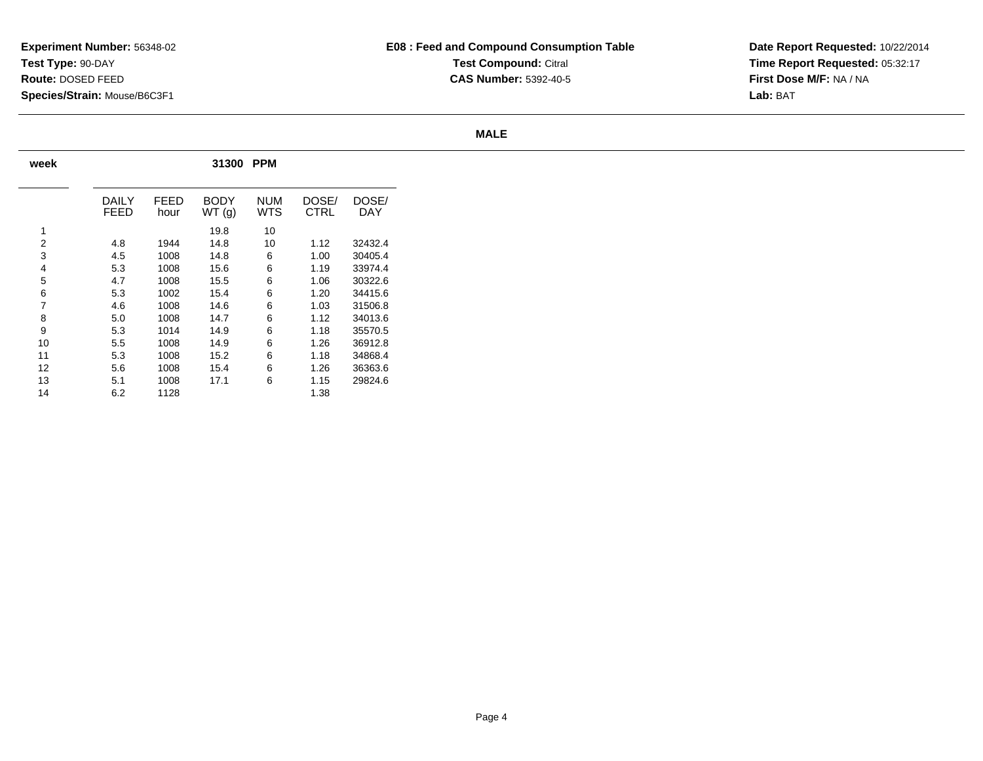# **E08 : Feed and Compound Consumption TableTest Compound: Citral CAS Number:** 5392-40-5

**Date Report Requested:** 10/22/2014 **Time Report Requested:** 05:32:17**First Dose M/F:** NA / NA**Lab:** BAT

### **MALE**

| week |               | 31300<br><b>PPM</b> |               |            |               |              |  |  |  |  |  |  |  |
|------|---------------|---------------------|---------------|------------|---------------|--------------|--|--|--|--|--|--|--|
|      | DAILY<br>FEED | FFFD<br>hour        | BODY<br>WT(g) | NUM<br>WTS | DOSE/<br>CTRL | DOSE/<br>DAY |  |  |  |  |  |  |  |
| 1    |               |                     | 19.8          | 10         |               |              |  |  |  |  |  |  |  |
| 2    | 4.8           | 1944                | 14.8          | 10         | 1.12          | 32432.4      |  |  |  |  |  |  |  |
| 3    | 4.5           | 1008                | 14.8          | 6          | 1.00          | 30405.4      |  |  |  |  |  |  |  |
| 4    | 5.3           | 1008                | 15.6          | 6          | 1.19          | 33974.4      |  |  |  |  |  |  |  |
| 5    | 4.7           | 1008                | 15.5          | 6          | 1.06          | 30322.6      |  |  |  |  |  |  |  |
| 6    | 5.3           | 1002                | 15.4          | 6          | 1.20          | 34415.6      |  |  |  |  |  |  |  |
| 7    | 4.6           | 1008                | 14.6          | 6          | 1.03          | 31506.8      |  |  |  |  |  |  |  |
| 8    | 5.0           | 1008                | 14.7          | 6          | 1.12          | 34013.6      |  |  |  |  |  |  |  |
| 9    | 5.3           | 1014                | 14.9          | 6          | 1.18          | 35570.5      |  |  |  |  |  |  |  |
| 10   | 5.5           | 1008                | 14.9          | 6          | 1.26          | 36912.8      |  |  |  |  |  |  |  |
| 11   | 5.3           | 1008                | 15.2          | 6          | 1.18          | 34868.4      |  |  |  |  |  |  |  |
| 12   | 5.6           | 1008                | 15.4          | 6          | 1.26          | 36363.6      |  |  |  |  |  |  |  |
| 13   | 5.1           | 1008                | 17.1          | 6          | 1.15          | 29824.6      |  |  |  |  |  |  |  |
| 14   | 6.2           | 1128                |               |            | 1.38          |              |  |  |  |  |  |  |  |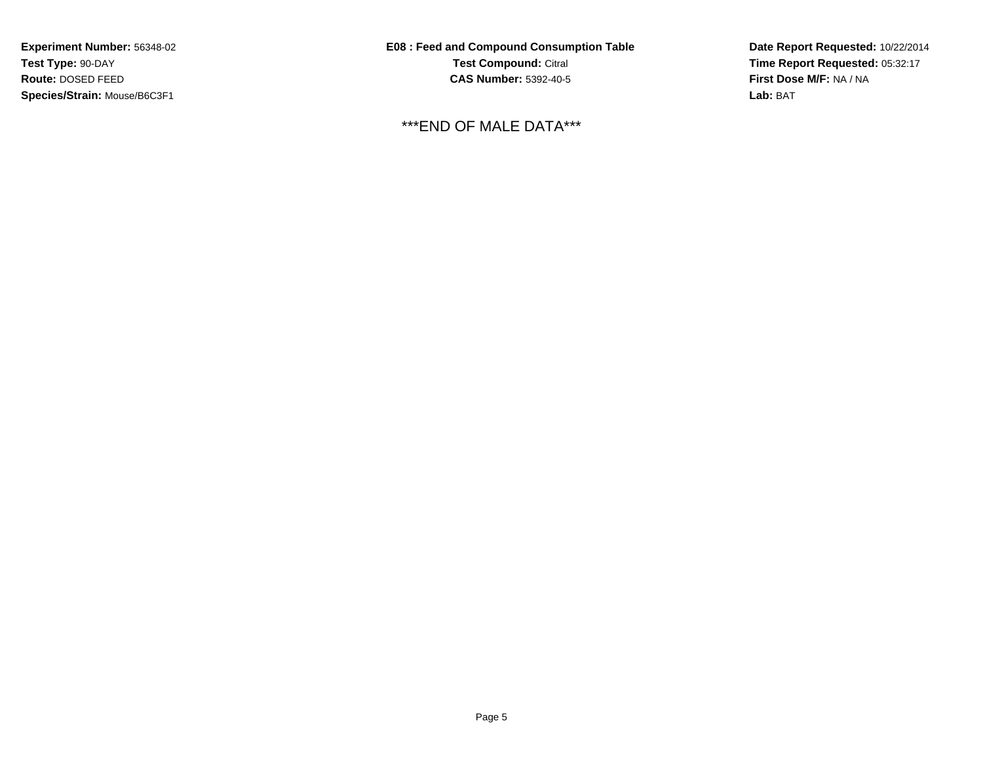**E08 : Feed and Compound Consumption TableTest Compound:** Citral **CAS Number:** 5392-40-5

\*\*\*END OF MALE DATA\*\*\*

**Date Report Requested:** 10/22/2014 **Time Report Requested:** 05:32:17**First Dose M/F:** NA / NA**Lab:** BAT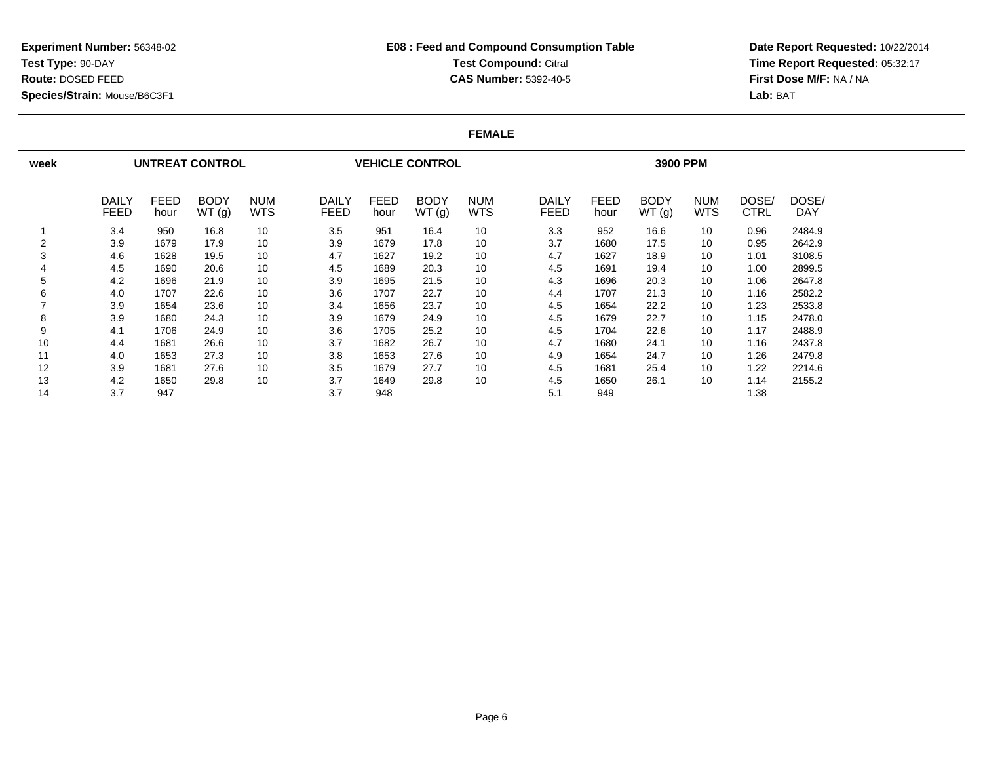### **E08 : Feed and Compound Consumption TableTest Compound: Citral CAS Number:** 5392-40-5

**Date Report Requested:** 10/22/2014 **Time Report Requested:** 05:32:17**First Dose M/F:** NA / NA**Lab:** BAT

#### **FEMALE**

| week |                      |                     | <b>UNTREAT CONTROL</b> |                          |                      |                     | <b>VEHICLE CONTROL</b> |                          | 3900 PPM                    |                     |               |                   |                      |                     |  |
|------|----------------------|---------------------|------------------------|--------------------------|----------------------|---------------------|------------------------|--------------------------|-----------------------------|---------------------|---------------|-------------------|----------------------|---------------------|--|
|      | DAILY<br><b>FEED</b> | <b>FEED</b><br>hour | <b>BODY</b><br>WT(g)   | <b>NUM</b><br><b>WTS</b> | DAILY<br><b>FEED</b> | <b>FEED</b><br>hour | <b>BODY</b><br>WT(g)   | <b>NUM</b><br><b>WTS</b> | <b>DAILY</b><br><b>FEED</b> | <b>FEED</b><br>hour | BODY<br>WT(g) | <b>NUM</b><br>WTS | DOSE/<br><b>CTRL</b> | DOSE/<br><b>DAY</b> |  |
|      | 3.4                  | 950                 | 16.8                   | 10                       | 3.5                  | 951                 | 16.4                   | 10                       | 3.3                         | 952                 | 16.6          | 10                | 0.96                 | 2484.9              |  |
| 2    | 3.9                  | 1679                | 17.9                   | 10                       | 3.9                  | 1679                | 17.8                   | 10                       | 3.7                         | 1680                | 17.5          | 10                | 0.95                 | 2642.9              |  |
| 3    | 4.6                  | 1628                | 19.5                   | 10                       | 4.7                  | 1627                | 19.2                   | 10                       | 4.7                         | 1627                | 18.9          | 10                | 1.01                 | 3108.5              |  |
| 4    | 4.5                  | 1690                | 20.6                   | 10                       | 4.5                  | 1689                | 20.3                   | 10                       | 4.5                         | 1691                | 19.4          | 10                | 1.00                 | 2899.5              |  |
| 5    | 4.2                  | 1696                | 21.9                   | 10                       | 3.9                  | 1695                | 21.5                   | 10                       | 4.3                         | 1696                | 20.3          | 10                | 1.06                 | 2647.8              |  |
| 6    | 4.0                  | 1707                | 22.6                   | 10                       | 3.6                  | 1707                | 22.7                   | 10                       | 4.4                         | 1707                | 21.3          | 10                | 1.16                 | 2582.2              |  |
|      | 3.9                  | 1654                | 23.6                   | 10                       | 3.4                  | 1656                | 23.7                   | 10                       | 4.5                         | 1654                | 22.2          | 10                | 1.23                 | 2533.8              |  |
| 8    | 3.9                  | 1680                | 24.3                   | 10                       | 3.9                  | 1679                | 24.9                   | 10                       | 4.5                         | 1679                | 22.7          | 10                | 1.15                 | 2478.0              |  |
| 9    | 4.1                  | 1706                | 24.9                   | 10                       | 3.6                  | 1705                | 25.2                   | 10                       | 4.5                         | 1704                | 22.6          | 10                | 1.17                 | 2488.9              |  |
| 10   | 4.4                  | 1681                | 26.6                   | 10                       | 3.7                  | 1682                | 26.7                   | 10                       | 4.7                         | 1680                | 24.1          | 10                | 1.16                 | 2437.8              |  |
| 11   | 4.0                  | 1653                | 27.3                   | 10                       | 3.8                  | 1653                | 27.6                   | 10                       | 4.9                         | 1654                | 24.7          | 10                | 1.26                 | 2479.8              |  |
| 12   | 3.9                  | 1681                | 27.6                   | 10                       | 3.5                  | 1679                | 27.7                   | 10                       | 4.5                         | 1681                | 25.4          | 10                | 1.22                 | 2214.6              |  |
| 13   | 4.2                  | 1650                | 29.8                   | 10                       | 3.7                  | 1649                | 29.8                   | 10                       | 4.5                         | 1650                | 26.1          | 10                | 1.14                 | 2155.2              |  |
| 14   | 3.7                  | 947                 |                        |                          | 3.7                  | 948                 |                        |                          | 5.1                         | 949                 |               |                   | 1.38                 |                     |  |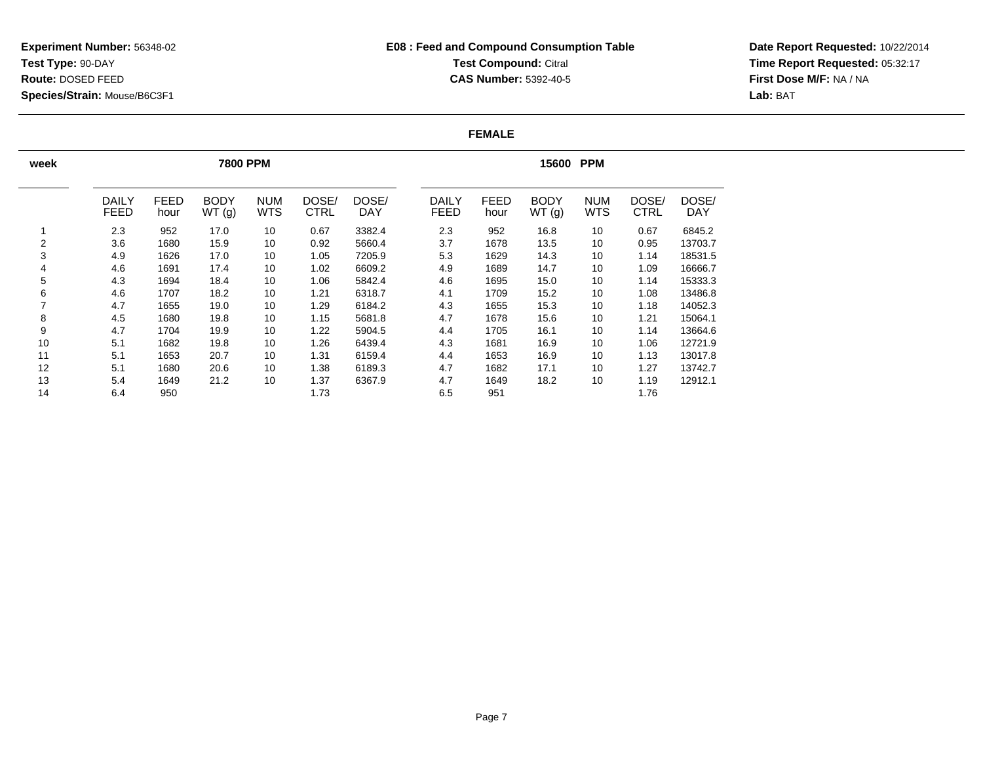### **E08 : Feed and Compound Consumption TableTest Compound: Citral CAS Number:** 5392-40-5

**Date Report Requested:** 10/22/2014 **Time Report Requested:** 05:32:17**First Dose M/F:** NA / NA**Lab:** BAT

#### **FEMALE**

| week |                      |                     | <b>7800 PPM</b>      |                          |                      | <b>PPM</b><br>15600 |                             |                     |                      |                          |                      |                     |
|------|----------------------|---------------------|----------------------|--------------------------|----------------------|---------------------|-----------------------------|---------------------|----------------------|--------------------------|----------------------|---------------------|
|      | DAILY<br><b>FEED</b> | <b>FEED</b><br>hour | <b>BODY</b><br>WT(g) | <b>NUM</b><br><b>WTS</b> | DOSE/<br><b>CTRL</b> | DOSE/<br><b>DAY</b> | <b>DAILY</b><br><b>FEED</b> | <b>FEED</b><br>hour | <b>BODY</b><br>WT(g) | <b>NUM</b><br><b>WTS</b> | DOSE/<br><b>CTRL</b> | DOSE/<br><b>DAY</b> |
|      | 2.3                  | 952                 | 17.0                 | 10                       | 0.67                 | 3382.4              | 2.3                         | 952                 | 16.8                 | 10                       | 0.67                 | 6845.2              |
| 2    | 3.6                  | 1680                | 15.9                 | 10                       | 0.92                 | 5660.4              | 3.7                         | 1678                | 13.5                 | 10                       | 0.95                 | 13703.7             |
| 3    | 4.9                  | 1626                | 17.0                 | 10                       | 1.05                 | 7205.9              | 5.3                         | 1629                | 14.3                 | 10                       | 1.14                 | 18531.5             |
| 4    | 4.6                  | 1691                | 17.4                 | 10                       | 1.02                 | 6609.2              | 4.9                         | 1689                | 14.7                 | 10                       | 1.09                 | 16666.7             |
| 5    | 4.3                  | 1694                | 18.4                 | 10                       | 1.06                 | 5842.4              | 4.6                         | 1695                | 15.0                 | 10                       | 1.14                 | 15333.3             |
| 6    | 4.6                  | 1707                | 18.2                 | 10                       | 1.21                 | 6318.7              | 4.1                         | 1709                | 15.2                 | 10                       | 1.08                 | 13486.8             |
| 7    | 4.7                  | 1655                | 19.0                 | 10                       | 1.29                 | 6184.2              | 4.3                         | 1655                | 15.3                 | 10                       | 1.18                 | 14052.3             |
| 8    | 4.5                  | 1680                | 19.8                 | 10                       | 1.15                 | 5681.8              | 4.7                         | 1678                | 15.6                 | 10                       | 1.21                 | 15064.1             |
| 9    | 4.7                  | 1704                | 19.9                 | 10                       | 1.22                 | 5904.5              | 4.4                         | 1705                | 16.1                 | 10                       | 1.14                 | 13664.6             |
| 10   | 5.1                  | 1682                | 19.8                 | 10                       | 1.26                 | 6439.4              | 4.3                         | 1681                | 16.9                 | 10                       | 1.06                 | 12721.9             |
| 11   | 5.1                  | 1653                | 20.7                 | 10                       | 1.31                 | 6159.4              | 4.4                         | 1653                | 16.9                 | 10                       | 1.13                 | 13017.8             |
| 12   | 5.1                  | 1680                | 20.6                 | 10                       | 1.38                 | 6189.3              | 4.7                         | 1682                | 17.1                 | 10                       | 1.27                 | 13742.7             |
| 13   | 5.4                  | 1649                | 21.2                 | 10                       | 1.37                 | 6367.9              | 4.7                         | 1649                | 18.2                 | 10                       | 1.19                 | 12912.1             |
| 14   | 6.4                  | 950                 |                      |                          | 1.73                 |                     | 6.5                         | 951                 |                      |                          | 1.76                 |                     |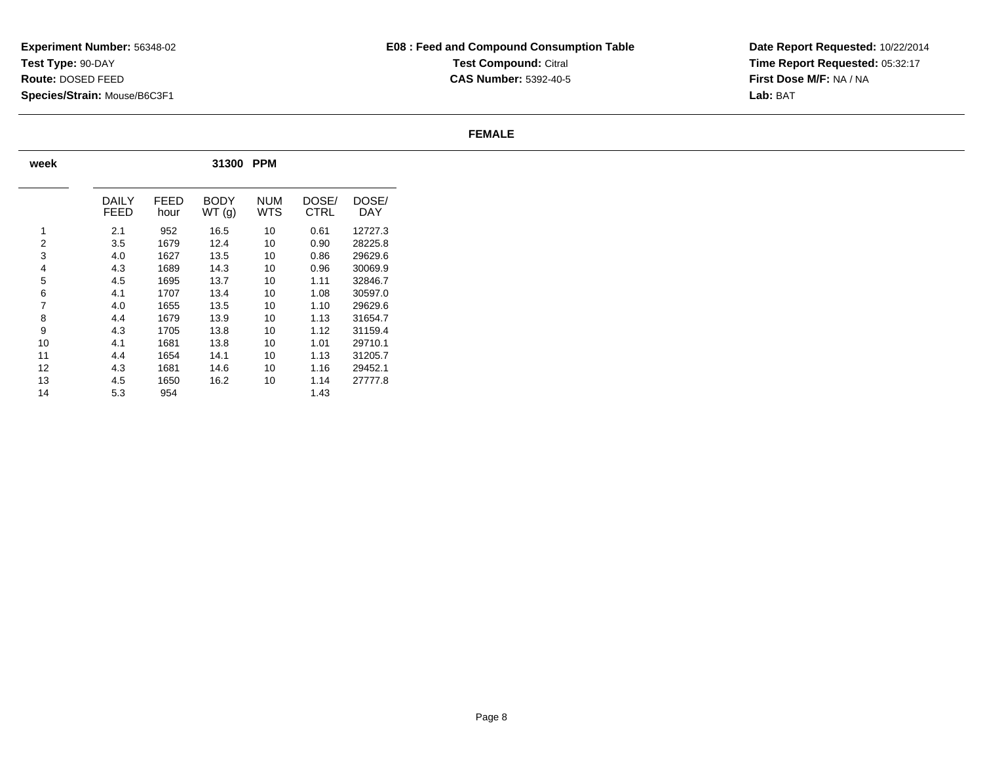## **E08 : Feed and Compound Consumption TableTest Compound: Citral CAS Number:** 5392-40-5

**Date Report Requested:** 10/22/2014 **Time Report Requested:** 05:32:17**First Dose M/F:** NA / NA**Lab:** BAT

#### **FEMALE**

| week           | 31300<br><b>PPM</b> |              |                      |            |               |              |  |  |  |  |  |  |  |  |
|----------------|---------------------|--------------|----------------------|------------|---------------|--------------|--|--|--|--|--|--|--|--|
|                | DAILY<br>FEED       | FFFD<br>hour | <b>BODY</b><br>WT(g) | NUM<br>WTS | DOSE/<br>CTRL | DOSE/<br>DAY |  |  |  |  |  |  |  |  |
| 1              | 2.1                 | 952          | 16.5                 | 10         | 0.61          | 12727.3      |  |  |  |  |  |  |  |  |
| 2              | 3.5                 | 1679         | 12.4                 | 10         | 0.90          | 28225.8      |  |  |  |  |  |  |  |  |
| 3              | 4.0                 | 1627         | 13.5                 | 10         | 0.86          | 29629.6      |  |  |  |  |  |  |  |  |
| $\overline{4}$ | 4.3                 | 1689         | 14.3                 | 10         | 0.96          | 30069.9      |  |  |  |  |  |  |  |  |
| 5              | 4.5                 | 1695         | 13.7                 | 10         | 1.11          | 32846.7      |  |  |  |  |  |  |  |  |
| 6              | 4.1                 | 1707         | 13.4                 | 10         | 1.08          | 30597.0      |  |  |  |  |  |  |  |  |
| 7              | 4.0                 | 1655         | 13.5                 | 10         | 1.10          | 29629.6      |  |  |  |  |  |  |  |  |
| 8              | 4.4                 | 1679         | 13.9                 | 10         | 1.13          | 31654.7      |  |  |  |  |  |  |  |  |
| 9              | 4.3                 | 1705         | 13.8                 | 10         | 1.12          | 31159.4      |  |  |  |  |  |  |  |  |
| 10             | 4.1                 | 1681         | 13.8                 | 10         | 1.01          | 29710.1      |  |  |  |  |  |  |  |  |
| 11             | 4.4                 | 1654         | 14.1                 | 10         | 1.13          | 31205.7      |  |  |  |  |  |  |  |  |
| 12             | 4.3                 | 1681         | 14.6                 | 10         | 1.16          | 29452.1      |  |  |  |  |  |  |  |  |
| 13             | 4.5                 | 1650         | 16.2                 | 10         | 1.14          | 27777.8      |  |  |  |  |  |  |  |  |
| 14             | 5.3                 | 954          |                      |            | 1.43          |              |  |  |  |  |  |  |  |  |